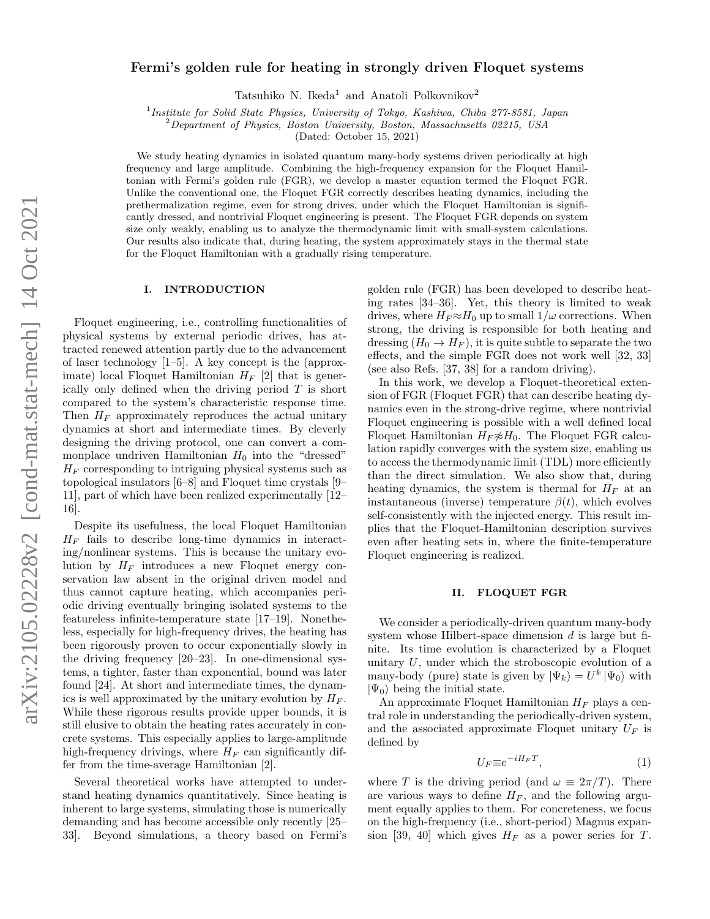# Fermi's golden rule for heating in strongly driven Floquet systems

Tatsuhiko N. Ikeda<sup>1</sup> and Anatoli Polkovnikov<sup>2</sup>

<sup>1</sup>Institute for Solid State Physics, University of Tokyo, Kashiwa, Chiba 277-8581, Japan

<sup>2</sup>Department of Physics, Boston University, Boston, Massachusetts 02215, USA

(Dated: October 15, 2021)

We study heating dynamics in isolated quantum many-body systems driven periodically at high frequency and large amplitude. Combining the high-frequency expansion for the Floquet Hamiltonian with Fermi's golden rule (FGR), we develop a master equation termed the Floquet FGR. Unlike the conventional one, the Floquet FGR correctly describes heating dynamics, including the prethermalization regime, even for strong drives, under which the Floquet Hamiltonian is significantly dressed, and nontrivial Floquet engineering is present. The Floquet FGR depends on system size only weakly, enabling us to analyze the thermodynamic limit with small-system calculations. Our results also indicate that, during heating, the system approximately stays in the thermal state for the Floquet Hamiltonian with a gradually rising temperature.

### I. INTRODUCTION

Floquet engineering, i.e., controlling functionalities of physical systems by external periodic drives, has attracted renewed attention partly due to the advancement of laser technology [1–5]. A key concept is the (approximate) local Floquet Hamiltonian  $H_F$  [2] that is generically only defined when the driving period  $T$  is short compared to the system's characteristic response time. Then  $H_F$  approximately reproduces the actual unitary dynamics at short and intermediate times. By cleverly designing the driving protocol, one can convert a commonplace undriven Hamiltonian  $H_0$  into the "dressed"  $H_F$  corresponding to intriguing physical systems such as topological insulators [6–8] and Floquet time crystals [9– 11], part of which have been realized experimentally [12– 16].

Despite its usefulness, the local Floquet Hamiltonian  $H_F$  fails to describe long-time dynamics in interacting/nonlinear systems. This is because the unitary evolution by  $H_F$  introduces a new Floquet energy conservation law absent in the original driven model and thus cannot capture heating, which accompanies periodic driving eventually bringing isolated systems to the featureless infinite-temperature state [17–19]. Nonetheless, especially for high-frequency drives, the heating has been rigorously proven to occur exponentially slowly in the driving frequency [20–23]. In one-dimensional systems, a tighter, faster than exponential, bound was later found [24]. At short and intermediate times, the dynamics is well approximated by the unitary evolution by  $H_F$ . While these rigorous results provide upper bounds, it is still elusive to obtain the heating rates accurately in concrete systems. This especially applies to large-amplitude high-frequency drivings, where  $H_F$  can significantly differ from the time-average Hamiltonian [2].

Several theoretical works have attempted to understand heating dynamics quantitatively. Since heating is inherent to large systems, simulating those is numerically demanding and has become accessible only recently [25– 33]. Beyond simulations, a theory based on Fermi's

golden rule (FGR) has been developed to describe heating rates [34–36]. Yet, this theory is limited to weak drives, where  $H_F \approx H_0$  up to small  $1/\omega$  corrections. When strong, the driving is responsible for both heating and dressing  $(H_0 \rightarrow H_F)$ , it is quite subtle to separate the two effects, and the simple FGR does not work well [32, 33] (see also Refs. [37, 38] for a random driving).

In this work, we develop a Floquet-theoretical extension of FGR (Floquet FGR) that can describe heating dynamics even in the strong-drive regime, where nontrivial Floquet engineering is possible with a well defined local Floquet Hamiltonian  $H_F \not\approx H_0$ . The Floquet FGR calculation rapidly converges with the system size, enabling us to access the thermodynamic limit (TDL) more efficiently than the direct simulation. We also show that, during heating dynamics, the system is thermal for  $H_F$  at an instantaneous (inverse) temperature  $\beta(t)$ , which evolves self-consistently with the injected energy. This result implies that the Floquet-Hamiltonian description survives even after heating sets in, where the finite-temperature Floquet engineering is realized.

# II. FLOQUET FGR

We consider a periodically-driven quantum many-body system whose Hilbert-space dimension d is large but finite. Its time evolution is characterized by a Floquet unitary  $U$ , under which the stroboscopic evolution of a many-body (pure) state is given by  $|\Psi_k\rangle = U^k |\Psi_0\rangle$  with  $|\Psi_0\rangle$  being the initial state.

An approximate Floquet Hamiltonian  $H_F$  plays a central role in understanding the periodically-driven system, and the associated approximate Floquet unitary  $U_F$  is defined by

$$
U_F \equiv e^{-iH_F T},\tag{1}
$$

where T is the driving period (and  $\omega \equiv 2\pi/T$ ). There are various ways to define  $H_F$ , and the following argument equally applies to them. For concreteness, we focus on the high-frequency (i.e., short-period) Magnus expansion [39, 40] which gives  $H_F$  as a power series for T.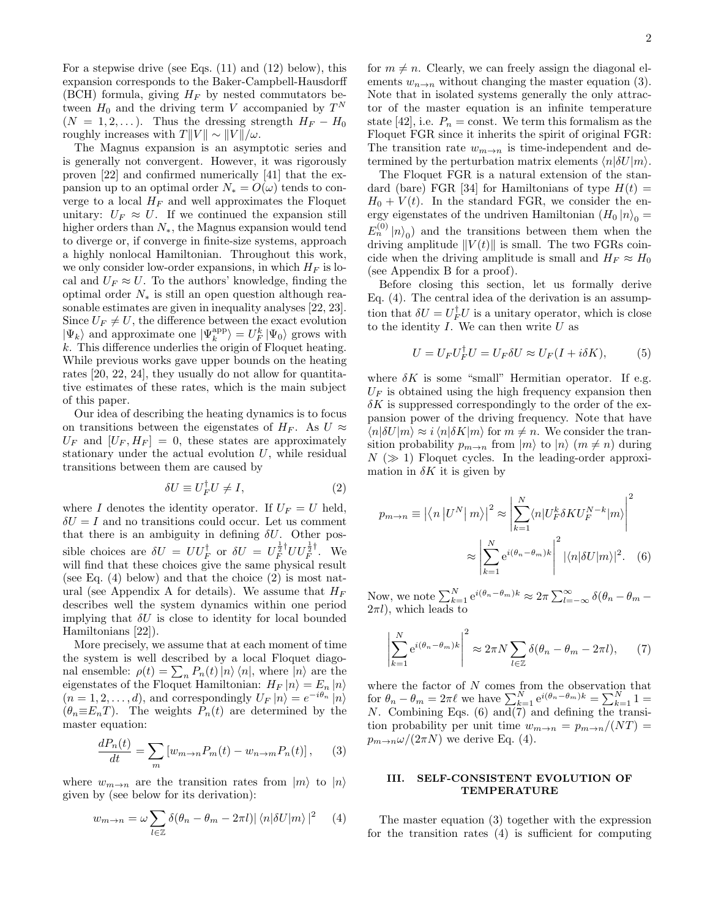For a stepwise drive (see Eqs. (11) and (12) below), this expansion corresponds to the Baker-Campbell-Hausdorff (BCH) formula, giving  $H_F$  by nested commutators between  $H_0$  and the driving term V accompanied by  $T<sup>N</sup>$  $(N = 1, 2, ...)$ . Thus the dressing strength  $H_F - H_0$ roughly increases with  $T||V|| \sim ||V||/\omega$ .

The Magnus expansion is an asymptotic series and is generally not convergent. However, it was rigorously proven [22] and confirmed numerically [41] that the expansion up to an optimal order  $N_* = O(\omega)$  tends to converge to a local  $H_F$  and well approximates the Floquet unitary:  $U_F \approx U$ . If we continued the expansion still higher orders than N∗, the Magnus expansion would tend to diverge or, if converge in finite-size systems, approach a highly nonlocal Hamiltonian. Throughout this work, we only consider low-order expansions, in which  $H_F$  is local and  $U_F \approx U$ . To the authors' knowledge, finding the optimal order  $N_*$  is still an open question although reasonable estimates are given in inequality analyses [22, 23]. Since  $U_F \neq U$ , the difference between the exact evolution  $|\Psi_k\rangle$  and approximate one  $|\Psi^{\text{app}}_k\rangle$   $=$   $U^k_F\,|\Psi_0\rangle$  grows with k. This difference underlies the origin of Floquet heating. While previous works gave upper bounds on the heating rates [20, 22, 24], they usually do not allow for quantitative estimates of these rates, which is the main subject of this paper.

Our idea of describing the heating dynamics is to focus on transitions between the eigenstates of  $H_F$ . As  $U \approx$  $U_F$  and  $[U_F, H_F] = 0$ , these states are approximately stationary under the actual evolution  $U$ , while residual transitions between them are caused by

$$
\delta U \equiv U_F^{\dagger} U \neq I,\tag{2}
$$

where I denotes the identity operator. If  $U_F = U$  held,  $\delta U = I$  and no transitions could occur. Let us comment that there is an ambiguity in defining  $\delta U$ . Other possible choices are  $\delta U = U U_F^{\dagger}$  or  $\delta U = U_F^{\frac{1}{2} \dagger} U U_F^{\frac{1}{2} \dagger}$  $\overline{F}^{\frac{1}{2}}$ . We will find that these choices give the same physical result (see Eq.  $(4)$  below) and that the choice  $(2)$  is most natural (see Appendix A for details). We assume that  $H_F$ describes well the system dynamics within one period implying that  $\delta U$  is close to identity for local bounded Hamiltonians [22]).

More precisely, we assume that at each moment of time the system is well described by a local Floquet diagonal ensemble:  $\rho(t) = \sum_{n} P_n(t) |n\rangle \langle n|$ , where  $|n\rangle$  are the eigenstates of the Floquet Hamiltonian:  $H_F |n\rangle = E_n |n\rangle$  $(n = 1, 2, \dots, d)$ , and correspondingly  $U_F |n\rangle = e^{-i\theta_n} |n\rangle$  $(\theta_n \equiv E_n T)$ . The weights  $P_n(t)$  are determined by the master equation:

$$
\frac{dP_n(t)}{dt} = \sum_m \left[ w_{m \to n} P_m(t) - w_{n \to m} P_n(t) \right],\qquad(3)
$$

where  $w_{m\to n}$  are the transition rates from  $|m\rangle$  to  $|n\rangle$ given by (see below for its derivation):

$$
w_{m \to n} = \omega \sum_{l \in \mathbb{Z}} \delta(\theta_n - \theta_m - 2\pi l) |\langle n|\delta U|m\rangle|^2 \quad (4)
$$

for  $m \neq n$ . Clearly, we can freely assign the diagonal elements  $w_{n\to n}$  without changing the master equation (3). Note that in isolated systems generally the only attractor of the master equation is an infinite temperature state [42], i.e.  $P_n = \text{const.}$  We term this formalism as the Floquet FGR since it inherits the spirit of original FGR: The transition rate  $w_{m\to n}$  is time-independent and determined by the perturbation matrix elements  $\langle n|\delta U|m\rangle$ .

The Floquet FGR is a natural extension of the standard (bare) FGR [34] for Hamiltonians of type  $H(t) =$  $H_0 + V(t)$ . In the standard FGR, we consider the energy eigenstates of the undriven Hamiltonian  $(H_0 | n)$ <sup>0</sup>  $E_n^{(0)} \left| n \right\rangle_0$  and the transitions between them when the driving amplitude  $||V(t)||$  is small. The two FGRs coincide when the driving amplitude is small and  $H_F \approx H_0$ (see Appendix B for a proof).

Before closing this section, let us formally derive Eq. (4). The central idea of the derivation is an assumption that  $\delta U = U_F^{\dagger} U$  is a unitary operator, which is close to the identity  $I$ . We can then write  $U$  as

$$
U = U_F U_F^{\dagger} U = U_F \delta U \approx U_F (I + i\delta K), \tag{5}
$$

where  $\delta K$  is some "small" Hermitian operator. If e.g.  $U_F$  is obtained using the high frequency expansion then  $\delta K$  is suppressed correspondingly to the order of the expansion power of the driving frequency. Note that have  $\langle n|\delta U|m\rangle \approx i \langle n|\delta K|m\rangle$  for  $m \neq n$ . We consider the transition probability  $p_{m\to n}$  from  $|m\rangle$  to  $|n\rangle$   $(m \neq n)$  during  $N \gg 1$ ) Floquet cycles. In the leading-order approximation in  $\delta K$  it is given by

$$
p_{m \to n} \equiv \left| \langle n | U^N | m \rangle \right|^2 \approx \left| \sum_{k=1}^N \langle n | U_F^k \delta K U_F^{N-k} | m \rangle \right|^2
$$

$$
\approx \left| \sum_{k=1}^N e^{i(\theta_n - \theta_m)k} \right|^2 |\langle n | \delta U | m \rangle|^2. \quad (6)
$$

Now, we note  $\sum_{k=1}^{N} e^{i(\theta_n - \theta_m)k} \approx 2\pi \sum_{l=-\infty}^{\infty} \delta(\theta_n - \theta_m 2\pi l$ , which leads to

$$
\left| \sum_{k=1}^{N} e^{i(\theta_n - \theta_m)k} \right|^2 \approx 2\pi N \sum_{l \in \mathbb{Z}} \delta(\theta_n - \theta_m - 2\pi l), \qquad (7)
$$

where the factor of  $N$  comes from the observation that for  $\theta_n - \theta_m = 2\pi \ell$  we have  $\sum_{k=1}^N e^{i(\theta_n - \theta_m)k} = \sum_{k=1}^N 1 =$ N. Combining Eqs.  $(6)$  and $(7)$  and defining the transition probability per unit time  $w_{m\to n} = p_{m\to n}/(NT)$  =  $p_{m\to n}\omega/(2\pi N)$  we derive Eq. (4).

## III. SELF-CONSISTENT EVOLUTION OF TEMPERATURE

The master equation (3) together with the expression for the transition rates (4) is sufficient for computing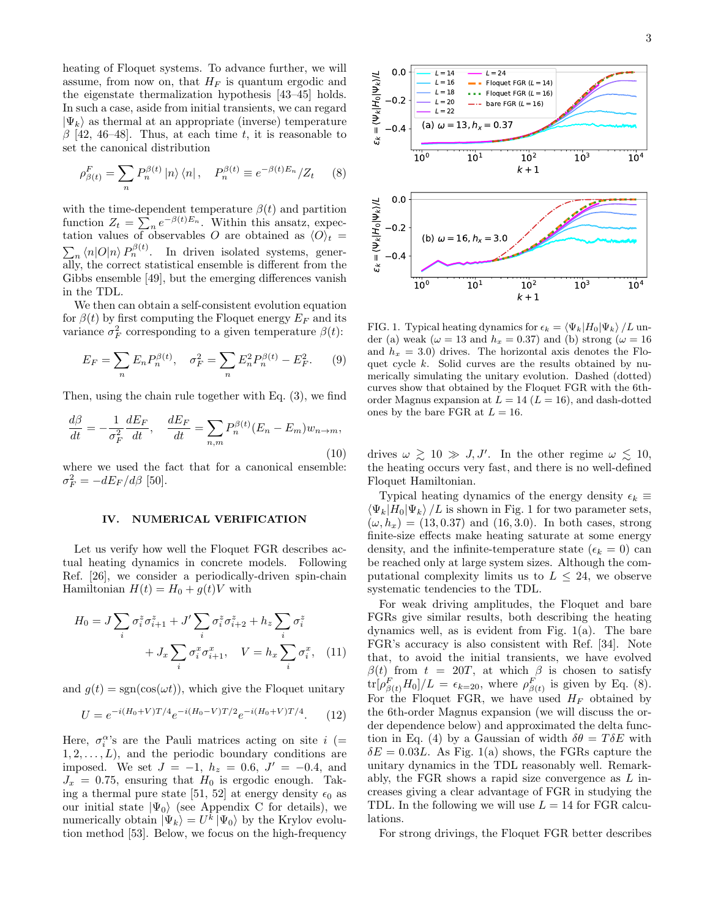heating of Floquet systems. To advance further, we will assume, from now on, that  $H_F$  is quantum ergodic and the eigenstate thermalization hypothesis [43–45] holds. In such a case, aside from initial transients, we can regard  $|\Psi_k\rangle$  as thermal at an appropriate (inverse) temperature  $\beta$  [42, 46–48]. Thus, at each time t, it is reasonable to set the canonical distribution

$$
\rho_{\beta(t)}^F = \sum_n P_n^{\beta(t)} |n\rangle \langle n| \,, \quad P_n^{\beta(t)} \equiv e^{-\beta(t)E_n} / Z_t \qquad (8)
$$

with the time-dependent temperature  $\beta(t)$  and partition function  $Z_t = \sum_n e^{-\beta(t)E_n}$ . Within this ansatz, expectation values of observables O are obtained as  $\langle O \rangle_t =$  $\sum_{n} \langle n|O|n \rangle P_n^{\beta(t)}$ . In driven isolated systems, generally, the correct statistical ensemble is different from the Gibbs ensemble [49], but the emerging differences vanish in the TDL.

We then can obtain a self-consistent evolution equation for  $\beta(t)$  by first computing the Floquet energy  $E_F$  and its variance  $\sigma_F^2$  corresponding to a given temperature  $\beta(t)$ :

$$
E_F = \sum_n E_n P_n^{\beta(t)}, \quad \sigma_F^2 = \sum_n E_n^2 P_n^{\beta(t)} - E_F^2. \tag{9}
$$

Then, using the chain rule together with Eq. (3), we find

$$
\frac{d\beta}{dt} = -\frac{1}{\sigma_F^2} \frac{dE_F}{dt}, \quad \frac{dE_F}{dt} = \sum_{n,m} P_n^{\beta(t)} (E_n - E_m) w_{n \to m},\tag{10}
$$

where we used the fact that for a canonical ensemble:  $\sigma_F^2 = -dE_F/d\beta$  [50].

#### IV. NUMERICAL VERIFICATION

Let us verify how well the Floquet FGR describes actual heating dynamics in concrete models. Following Ref. [26], we consider a periodically-driven spin-chain Hamiltonian  $H(t) = H_0 + g(t)V$  with

$$
H_0 = J \sum_i \sigma_i^z \sigma_{i+1}^z + J' \sum_i \sigma_i^z \sigma_{i+2}^z + h_z \sum_i \sigma_i^z
$$

$$
+ J_x \sum_i \sigma_i^x \sigma_{i+1}^x, \quad V = h_x \sum_i \sigma_i^x, \quad (11)
$$

and  $g(t) = sgn(cos(\omega t))$ , which give the Floquet unitary

$$
U = e^{-i(H_0 + V)T/4}e^{-i(H_0 - V)T/2}e^{-i(H_0 + V)T/4}.
$$
 (12)

Here,  $\sigma_i^{\alpha}$ 's are the Pauli matrices acting on site  $i$  (=  $1, 2, \ldots, L$ , and the periodic boundary conditions are imposed. We set  $J = -1$ ,  $h_z = 0.6$ ,  $J' = -0.4$ , and  $J_x = 0.75$ , ensuring that  $H_0$  is ergodic enough. Taking a thermal pure state [51, 52] at energy density  $\epsilon_0$  as our initial state  $|\Psi_0\rangle$  (see Appendix C for details), we numerically obtain  $|\Psi_k\rangle = U^k |\Psi_0\rangle$  by the Krylov evolution method [53]. Below, we focus on the high-frequency



FIG. 1. Typical heating dynamics for  $\epsilon_k = \langle \Psi_k|H_0|\Psi_k \rangle /L$  under (a) weak ( $\omega = 13$  and  $h_x = 0.37$ ) and (b) strong ( $\omega = 16$ and  $h_x = 3.0$  drives. The horizontal axis denotes the Floquet cycle k. Solid curves are the results obtained by numerically simulating the unitary evolution. Dashed (dotted) curves show that obtained by the Floquet FGR with the 6thorder Magnus expansion at  $L = 14$   $(L = 16)$ , and dash-dotted ones by the bare FGR at  $L = 16$ .

drives  $\omega \geq 10 \gg J, J'$ . In the other regime  $\omega \leq 10$ , the heating occurs very fast, and there is no well-defined Floquet Hamiltonian.

Typical heating dynamics of the energy density  $\epsilon_k \equiv$  $\langle \Psi_k|H_0|\Psi_k\rangle /L$  is shown in Fig. 1 for two parameter sets,  $(\omega, h_x) = (13, 0.37)$  and  $(16, 3.0)$ . In both cases, strong finite-size effects make heating saturate at some energy density, and the infinite-temperature state ( $\epsilon_k = 0$ ) can be reached only at large system sizes. Although the computational complexity limits us to  $L < 24$ , we observe systematic tendencies to the TDL.

For weak driving amplitudes, the Floquet and bare FGRs give similar results, both describing the heating dynamics well, as is evident from Fig. 1(a). The bare FGR's accuracy is also consistent with Ref. [34]. Note that, to avoid the initial transients, we have evolved  $\beta(t)$  from  $t = 20T$ , at which  $\beta$  is chosen to satisfy  $\text{tr}[\rho_{\beta(t)}^F H_0]/L = \epsilon_{k=20}$ , where  $\rho_{\beta(t)}^F$  is given by Eq. (8). For the Floquet FGR, we have used  $H_F$  obtained by the 6th-order Magnus expansion (we will discuss the order dependence below) and approximated the delta function in Eq. (4) by a Gaussian of width  $\delta\theta = T\delta E$  with  $\delta E = 0.03L$ . As Fig. 1(a) shows, the FGRs capture the unitary dynamics in the TDL reasonably well. Remarkably, the FGR shows a rapid size convergence as  $L$  increases giving a clear advantage of FGR in studying the TDL. In the following we will use  $L = 14$  for FGR calculations.

For strong drivings, the Floquet FGR better describes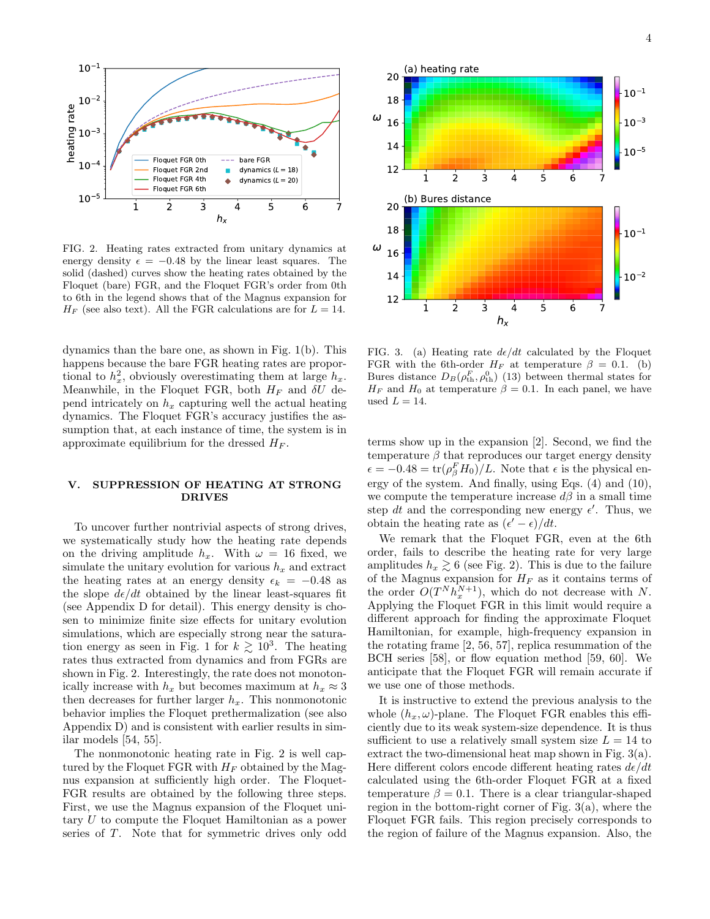

FIG. 2. Heating rates extracted from unitary dynamics at energy density  $\epsilon = -0.48$  by the linear least squares. The solid (dashed) curves show the heating rates obtained by the Floquet (bare) FGR, and the Floquet FGR's order from 0th to 6th in the legend shows that of the Magnus expansion for  $H_F$  (see also text). All the FGR calculations are for  $L = 14$ .

dynamics than the bare one, as shown in Fig. 1(b). This happens because the bare FGR heating rates are proportional to  $h_x^2$ , obviously overestimating them at large  $h_x$ . Meanwhile, in the Floquet FGR, both  $H_F$  and  $\delta U$  depend intricately on  $h_x$  capturing well the actual heating dynamics. The Floquet FGR's accuracy justifies the assumption that, at each instance of time, the system is in approximate equilibrium for the dressed  $H_F$ .

# V. SUPPRESSION OF HEATING AT STRONG DRIVES

To uncover further nontrivial aspects of strong drives, we systematically study how the heating rate depends on the driving amplitude  $h_x$ . With  $\omega = 16$  fixed, we simulate the unitary evolution for various  $h_x$  and extract the heating rates at an energy density  $\epsilon_k = -0.48$  as the slope  $d\epsilon/dt$  obtained by the linear least-squares fit (see Appendix D for detail). This energy density is chosen to minimize finite size effects for unitary evolution simulations, which are especially strong near the saturation energy as seen in Fig. 1 for  $k \geq 10^3$ . The heating rates thus extracted from dynamics and from FGRs are shown in Fig. 2. Interestingly, the rate does not monotonically increase with  $h_x$  but becomes maximum at  $h_x \approx 3$ then decreases for further larger  $h_x$ . This nonmonotonic behavior implies the Floquet prethermalization (see also Appendix D) and is consistent with earlier results in similar models [54, 55].

The nonmonotonic heating rate in Fig. 2 is well captured by the Floquet FGR with  $H_F$  obtained by the Magnus expansion at sufficiently high order. The Floquet-FGR results are obtained by the following three steps. First, we use the Magnus expansion of the Floquet unitary U to compute the Floquet Hamiltonian as a power series of T. Note that for symmetric drives only odd



FIG. 3. (a) Heating rate  $d\epsilon/dt$  calculated by the Floquet FGR with the 6th-order  $H_F$  at temperature  $\beta = 0.1$ . (b) Bures distance  $D_B(\rho_{\rm th}^F, \rho_{\rm th}^0)$  (13) between thermal states for  $H_F$  and  $H_0$  at temperature  $\beta = 0.1$ . In each panel, we have used  $L = 14$ .

terms show up in the expansion [2]. Second, we find the temperature  $\beta$  that reproduces our target energy density  $\epsilon = -0.48 = \text{tr}(\rho_{\beta}^F H_0)/L$ . Note that  $\epsilon$  is the physical energy of the system. And finally, using Eqs. (4) and (10), we compute the temperature increase  $d\beta$  in a small time step dt and the corresponding new energy  $\epsilon'$ . Thus, we obtain the heating rate as  $(\epsilon' - \epsilon)/dt$ .

We remark that the Floquet FGR, even at the 6th order, fails to describe the heating rate for very large amplitudes  $h_x \geq 6$  (see Fig. 2). This is due to the failure of the Magnus expansion for  $H_F$  as it contains terms of the order  $O(T^N h_x^{N+1})$ , which do not decrease with N. Applying the Floquet FGR in this limit would require a different approach for finding the approximate Floquet Hamiltonian, for example, high-frequency expansion in the rotating frame [2, 56, 57], replica resummation of the BCH series [58], or flow equation method [59, 60]. We anticipate that the Floquet FGR will remain accurate if we use one of those methods.

It is instructive to extend the previous analysis to the whole  $(h_x, \omega)$ -plane. The Floquet FGR enables this efficiently due to its weak system-size dependence. It is thus sufficient to use a relatively small system size  $L = 14$  to extract the two-dimensional heat map shown in Fig. 3(a). Here different colors encode different heating rates  $d\epsilon/dt$ calculated using the 6th-order Floquet FGR at a fixed temperature  $\beta = 0.1$ . There is a clear triangular-shaped region in the bottom-right corner of Fig. 3(a), where the Floquet FGR fails. This region precisely corresponds to the region of failure of the Magnus expansion. Also, the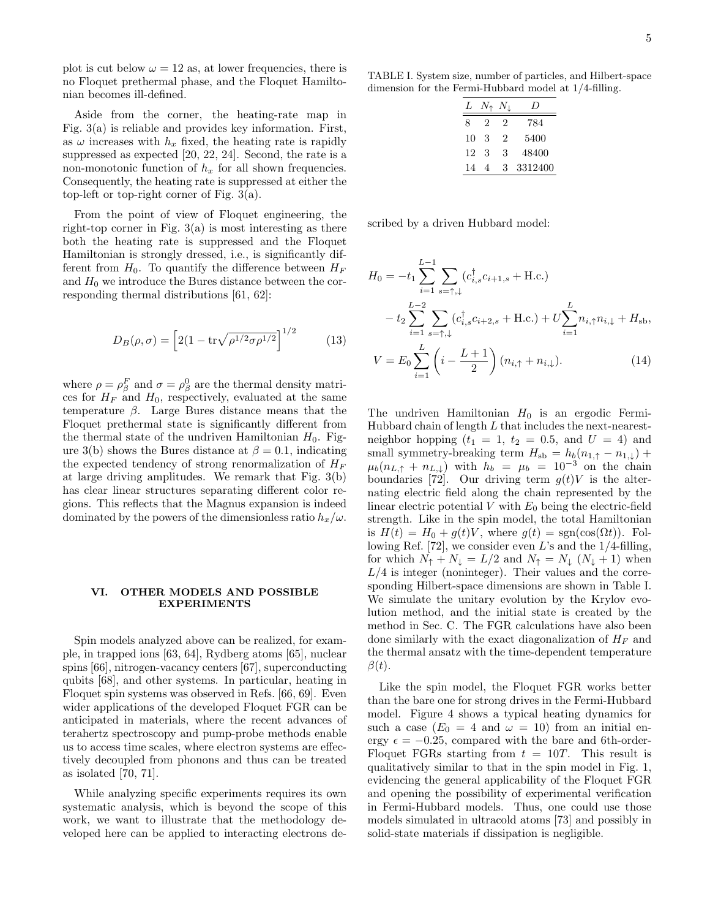plot is cut below  $\omega = 12$  as, at lower frequencies, there is no Floquet prethermal phase, and the Floquet Hamiltonian becomes ill-defined.

Aside from the corner, the heating-rate map in Fig. 3(a) is reliable and provides key information. First, as  $\omega$  increases with  $h_x$  fixed, the heating rate is rapidly suppressed as expected [20, 22, 24]. Second, the rate is a non-monotonic function of  $h_x$  for all shown frequencies. Consequently, the heating rate is suppressed at either the top-left or top-right corner of Fig. 3(a).

From the point of view of Floquet engineering, the right-top corner in Fig.  $3(a)$  is most interesting as there both the heating rate is suppressed and the Floquet Hamiltonian is strongly dressed, i.e., is significantly different from  $H_0$ . To quantify the difference between  $H_F$ and  $H_0$  we introduce the Bures distance between the corresponding thermal distributions [61, 62]:

$$
D_B(\rho, \sigma) = \left[2(1 - \text{tr}\sqrt{\rho^{1/2}\sigma \rho^{1/2}})\right]^{1/2}
$$
 (13)

where  $\rho = \rho_{\beta}^{F}$  and  $\sigma = \rho_{\beta}^{0}$  are the thermal density matrices for  $H_F$  and  $H_0$ , respectively, evaluated at the same temperature  $\beta$ . Large Bures distance means that the Floquet prethermal state is significantly different from the thermal state of the undriven Hamiltonian  $H_0$ . Figure 3(b) shows the Bures distance at  $\beta = 0.1$ , indicating the expected tendency of strong renormalization of  $H_F$ at large driving amplitudes. We remark that Fig. 3(b) has clear linear structures separating different color regions. This reflects that the Magnus expansion is indeed dominated by the powers of the dimensionless ratio  $h_x/\omega$ .

## VI. OTHER MODELS AND POSSIBLE EXPERIMENTS

Spin models analyzed above can be realized, for example, in trapped ions [63, 64], Rydberg atoms [65], nuclear spins [66], nitrogen-vacancy centers [67], superconducting qubits [68], and other systems. In particular, heating in Floquet spin systems was observed in Refs. [66, 69]. Even wider applications of the developed Floquet FGR can be anticipated in materials, where the recent advances of terahertz spectroscopy and pump-probe methods enable us to access time scales, where electron systems are effectively decoupled from phonons and thus can be treated as isolated [70, 71].

While analyzing specific experiments requires its own systematic analysis, which is beyond the scope of this work, we want to illustrate that the methodology developed here can be applied to interacting electrons de-

TABLE I. System size, number of particles, and Hilbert-space dimension for the Fermi-Hubbard model at 1/4-filling.

| L  | $N_{\uparrow}$ $N_{\perp}$ |   | י י     |
|----|----------------------------|---|---------|
| 8  | 2                          | 2 | 784     |
| 10 | 3                          | 2 | 5400    |
| 12 | 3                          | 3 | 48400   |
| 14 | 4                          | 3 | 3312400 |

scribed by a driven Hubbard model:

$$
H_0 = -t_1 \sum_{i=1}^{L-1} \sum_{s=\uparrow,\downarrow} (c_{i,s}^{\dagger} c_{i+1,s} + \text{H.c.})
$$
  

$$
-t_2 \sum_{i=1}^{L-2} \sum_{s=\uparrow,\downarrow} (c_{i,s}^{\dagger} c_{i+2,s} + \text{H.c.}) + U \sum_{i=1}^{L} n_{i,\uparrow} n_{i,\downarrow} + H_{\text{sb}},
$$
  

$$
V = E_0 \sum_{i=1}^{L} \left( i - \frac{L+1}{2} \right) (n_{i,\uparrow} + n_{i,\downarrow}). \tag{14}
$$

The undriven Hamiltonian  $H_0$  is an ergodic Fermi-Hubbard chain of length  $L$  that includes the next-nearestneighbor hopping  $(t_1 = 1, t_2 = 0.5,$  and  $U = 4)$  and small symmetry-breaking term  $H_{sb} = h_b(n_{1,\uparrow} - n_{1,\downarrow}) +$  $\mu_b(n_{L,\uparrow} + n_{L,\downarrow})$  with  $h_b = \mu_b = 10^{-3}$  on the chain boundaries [72]. Our driving term  $g(t)V$  is the alternating electric field along the chain represented by the linear electric potential  $V$  with  $E_0$  being the electric-field strength. Like in the spin model, the total Hamiltonian is  $H(t) = H_0 + g(t)V$ , where  $g(t) = sgn(cos(\Omega t))$ . Following Ref. [72], we consider even L's and the  $1/4$ -filling, for which  $N_{\uparrow} + N_{\downarrow} = L/2$  and  $N_{\uparrow} = N_{\downarrow} (N_{\downarrow} + 1)$  when  $L/4$  is integer (noninteger). Their values and the corresponding Hilbert-space dimensions are shown in Table I. We simulate the unitary evolution by the Krylov evolution method, and the initial state is created by the method in Sec. C. The FGR calculations have also been done similarly with the exact diagonalization of  $H_F$  and the thermal ansatz with the time-dependent temperature  $\beta(t)$ .

Like the spin model, the Floquet FGR works better than the bare one for strong drives in the Fermi-Hubbard model. Figure 4 shows a typical heating dynamics for such a case  $(E_0 = 4$  and  $\omega = 10)$  from an initial energy  $\epsilon = -0.25$ , compared with the bare and 6th-order-Floquet FGRs starting from  $t = 10T$ . This result is qualitatively similar to that in the spin model in Fig. 1, evidencing the general applicability of the Floquet FGR and opening the possibility of experimental verification in Fermi-Hubbard models. Thus, one could use those models simulated in ultracold atoms [73] and possibly in solid-state materials if dissipation is negligible.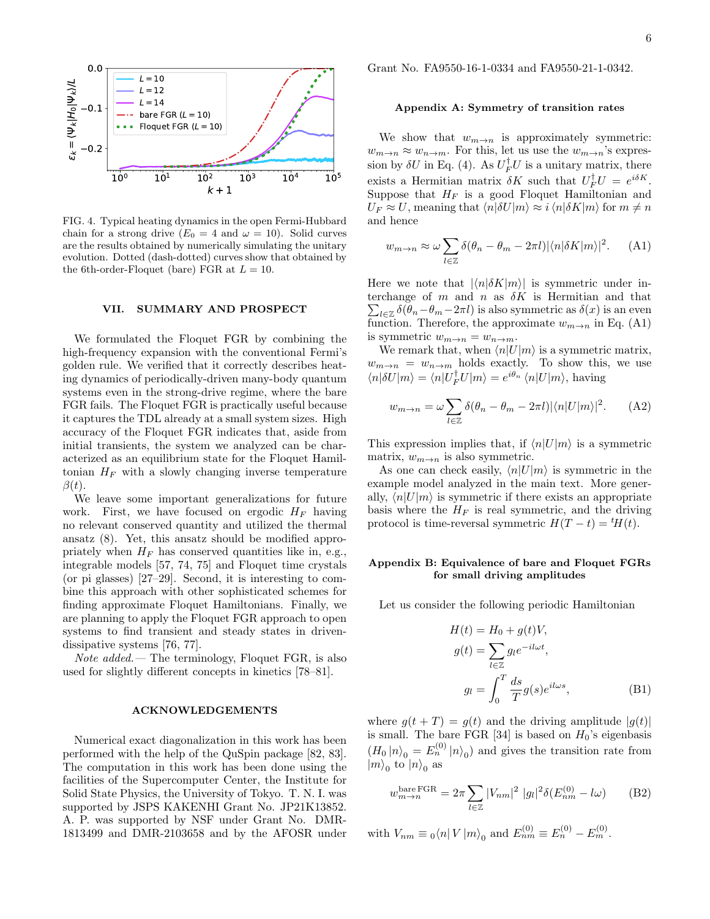

FIG. 4. Typical heating dynamics in the open Fermi-Hubbard chain for a strong drive  $(E_0 = 4$  and  $\omega = 10)$ . Solid curves are the results obtained by numerically simulating the unitary evolution. Dotted (dash-dotted) curves show that obtained by the 6th-order-Floquet (bare) FGR at  $L = 10$ .

#### VII. SUMMARY AND PROSPECT

We formulated the Floquet FGR by combining the high-frequency expansion with the conventional Fermi's golden rule. We verified that it correctly describes heating dynamics of periodically-driven many-body quantum systems even in the strong-drive regime, where the bare FGR fails. The Floquet FGR is practically useful because it captures the TDL already at a small system sizes. High accuracy of the Floquet FGR indicates that, aside from initial transients, the system we analyzed can be characterized as an equilibrium state for the Floquet Hamiltonian  $H_F$  with a slowly changing inverse temperature  $\beta(t)$ .

We leave some important generalizations for future work. First, we have focused on ergodic  $H_F$  having no relevant conserved quantity and utilized the thermal ansatz (8). Yet, this ansatz should be modified appropriately when  $H_F$  has conserved quantities like in, e.g., integrable models [57, 74, 75] and Floquet time crystals (or pi glasses) [27–29]. Second, it is interesting to combine this approach with other sophisticated schemes for finding approximate Floquet Hamiltonians. Finally, we are planning to apply the Floquet FGR approach to open systems to find transient and steady states in drivendissipative systems [76, 77].

Note added.— The terminology, Floquet FGR, is also used for slightly different concepts in kinetics [78–81].

### ACKNOWLEDGEMENTS

Numerical exact diagonalization in this work has been performed with the help of the QuSpin package [82, 83]. The computation in this work has been done using the facilities of the Supercomputer Center, the Institute for Solid State Physics, the University of Tokyo. T. N. I. was supported by JSPS KAKENHI Grant No. JP21K13852. A. P. was supported by NSF under Grant No. DMR-1813499 and DMR-2103658 and by the AFOSR under Grant No. FA9550-16-1-0334 and FA9550-21-1-0342.

## Appendix A: Symmetry of transition rates

We show that  $w_{m\to n}$  is approximately symmetric:  $w_{m\to n} \approx w_{n\to m}$ . For this, let us use the  $w_{m\to n}$ 's expression by  $\delta U$  in Eq. (4). As  $U_F^{\dagger} U$  is a unitary matrix, there exists a Hermitian matrix  $\delta K$  such that  $U_F^{\dagger} U = e^{i \delta K}$ . Suppose that  $H_F$  is a good Floquet Hamiltonian and  $U_F \approx U$ , meaning that  $\langle n|\delta U|m\rangle \approx i \langle n|\delta K|m\rangle$  for  $m \neq n$ and hence

$$
w_{m \to n} \approx \omega \sum_{l \in \mathbb{Z}} \delta(\theta_n - \theta_m - 2\pi l) |\langle n|\delta K|m\rangle|^2.
$$
 (A1)

Here we note that  $|\langle n|\delta K|m\rangle|$  is symmetric under interchange of  $m$  and  $n$  as  $\delta K$  is Hermitian and that  $\sum_{l\in\mathbb{Z}}\delta(\theta_n-\theta_m-2\pi l)$  is also symmetric as  $\delta(x)$  is an even function. Therefore, the approximate  $w_{m\to n}$  in Eq. (A1) is symmetric  $w_{m\to n} = w_{n\to m}$ .

We remark that, when  $\langle n|U|m\rangle$  is a symmetric matrix,  $w_{m\to n} = w_{n\to m}$  holds exactly. To show this, we use  $\langle n|\delta U|m\rangle = \langle n|U_F^{\dagger}U|m\rangle = e^{i\theta_n} \langle n|U|m\rangle$ , having

$$
w_{m \to n} = \omega \sum_{l \in \mathbb{Z}} \delta(\theta_n - \theta_m - 2\pi l) |\langle n|U|m \rangle|^2.
$$
 (A2)

This expression implies that, if  $\langle n|U|m\rangle$  is a symmetric matrix,  $w_{m\to n}$  is also symmetric.

As one can check easily,  $\langle n|U|m\rangle$  is symmetric in the example model analyzed in the main text. More generally,  $\langle n|U|m\rangle$  is symmetric if there exists an appropriate basis where the  $H_F$  is real symmetric, and the driving protocol is time-reversal symmetric  $H(T - t) = {}^{t}H(t)$ .

## Appendix B: Equivalence of bare and Floquet FGRs for small driving amplitudes

Let us consider the following periodic Hamiltonian

$$
H(t) = H_0 + g(t)V,
$$
  
\n
$$
g(t) = \sum_{l \in \mathbb{Z}} g_l e^{-il\omega t},
$$
  
\n
$$
g_l = \int_0^T \frac{ds}{T} g(s) e^{il\omega s},
$$
\n(B1)

where  $g(t+T) = g(t)$  and the driving amplitude  $|g(t)|$ is small. The bare FGR [34] is based on  $H_0$ 's eigenbasis  $(H_0 | n)_0 = E_n^{(0)} | n)_0$  and gives the transition rate from  $|m\rangle_0$  to  $|n\rangle_0$  as

$$
w_{m \to n}^{\text{bare FGR}} = 2\pi \sum_{l \in \mathbb{Z}} |V_{nm}|^2 |g_l|^2 \delta(E_{nm}^{(0)} - l\omega)
$$
 (B2)

with  $V_{nm} \equiv {}_0\langle n|V|m\rangle_0$  and  $E_{nm}^{(0)} \equiv E_n^{(0)} - E_m^{(0)}$ .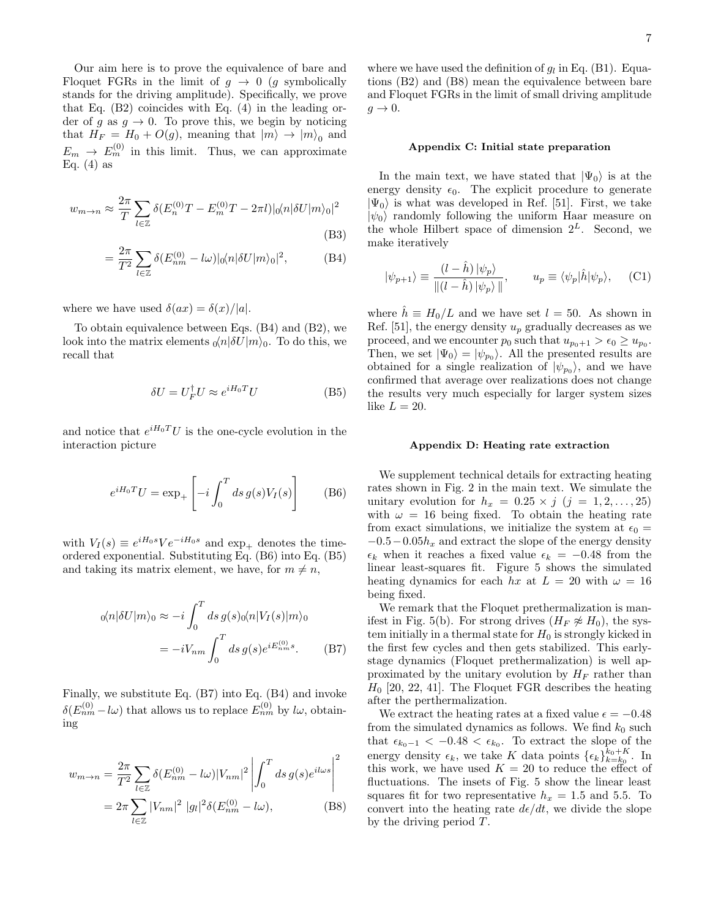Our aim here is to prove the equivalence of bare and Floquet FGRs in the limit of  $g \to 0$  (g symbolically stands for the driving amplitude). Specifically, we prove that Eq. (B2) coincides with Eq. (4) in the leading order of g as  $g \to 0$ . To prove this, we begin by noticing that  $H_F = H_0 + O(g)$ , meaning that  $|m\rangle \to |m\rangle_0$  and  $E_m \rightarrow E_m^{(0)}$  in this limit. Thus, we can approximate Eq.  $(4)$  as

$$
w_{m \to n} \approx \frac{2\pi}{T} \sum_{l \in \mathbb{Z}} \delta(E_n^{(0)}T - E_m^{(0)}T - 2\pi l)|_0 \langle n|\delta U|m\rangle_0|^2
$$
\n(B3)

$$
= \frac{2\pi}{T^2} \sum_{l \in \mathbb{Z}} \delta(E_{nm}^{(0)} - l\omega) |\mathbf{0}\langle n|\delta U|m\rangle_0|^2, \tag{B4}
$$

where we have used  $\delta(ax) = \delta(x)/|a|$ .

To obtain equivalence between Eqs. (B4) and (B2), we look into the matrix elements  $_0\langle n|\delta U|m\rangle_0$ . To do this, we recall that

$$
\delta U = U_F^{\dagger} U \approx e^{iH_0 T} U \tag{B5}
$$

and notice that  $e^{iH_0T}U$  is the one-cycle evolution in the interaction picture

$$
e^{iH_0 T} U = \exp_+ \left[ -i \int_0^T ds \, g(s) V_I(s) \right] \tag{B6}
$$

with  $V_I(s) \equiv e^{iH_0s} V e^{-iH_0s}$  and  $\exp_+$  denotes the timeordered exponential. Substituting Eq. (B6) into Eq. (B5) and taking its matrix element, we have, for  $m \neq n$ ,

$$
{}_0\langle n|\delta U|m\rangle_0 \approx -i\int_0^T ds \, g(s)_0\langle n|V_I(s)|m\rangle_0
$$

$$
= -iV_{nm} \int_0^T ds \, g(s)e^{iE_{nm}^{(0)}}s. \tag{B7}
$$

Finally, we substitute Eq. (B7) into Eq. (B4) and invoke  $\delta(E_{nm}^{(0)}-l\omega)$  that allows us to replace  $E_{nm}^{(0)}$  by  $l\omega$ , obtaining

$$
w_{m \to n} = \frac{2\pi}{T^2} \sum_{l \in \mathbb{Z}} \delta(E_{nm}^{(0)} - l\omega) |V_{nm}|^2 \left| \int_0^T ds \, g(s) e^{il\omega s} \right|^2
$$
  
=  $2\pi \sum_{l \in \mathbb{Z}} |V_{nm}|^2 |g_l|^2 \delta(E_{nm}^{(0)} - l\omega),$  (B8)

where we have used the definition of  $g_l$  in Eq. (B1). Equations (B2) and (B8) mean the equivalence between bare and Floquet FGRs in the limit of small driving amplitude  $g \rightarrow 0$ .

### Appendix C: Initial state preparation

In the main text, we have stated that  $|\Psi_0\rangle$  is at the energy density  $\epsilon_0$ . The explicit procedure to generate  $|\Psi_0\rangle$  is what was developed in Ref. [51]. First, we take  $|\psi_0\rangle$  randomly following the uniform Haar measure on the whole Hilbert space of dimension  $2^L$ . Second, we make iteratively

$$
|\psi_{p+1}\rangle \equiv \frac{(l-\hat{h})\,|\psi_p\rangle}{\|(l-\hat{h})\,|\psi_p\rangle\,\|}, \qquad u_p \equiv \langle \psi_p|\hat{h}|\psi_p\rangle, \qquad \text{(C1)}
$$

where  $\hat{h} \equiv H_0/L$  and we have set  $l = 50$ . As shown in Ref. [51], the energy density  $u_p$  gradually decreases as we proceed, and we encounter  $p_0$  such that  $u_{p_0+1} > \epsilon_0 \ge u_{p_0}$ . Then, we set  $|\Psi_0\rangle = |\psi_{p_0}\rangle$ . All the presented results are obtained for a single realization of  $|\psi_{p_0}\rangle$ , and we have confirmed that average over realizations does not change the results very much especially for larger system sizes like  $L = 20$ .

#### Appendix D: Heating rate extraction

We supplement technical details for extracting heating rates shown in Fig. 2 in the main text. We simulate the unitary evolution for  $h_x = 0.25 \times j \ (j = 1, 2, \ldots, 25)$ with  $\omega = 16$  being fixed. To obtain the heating rate from exact simulations, we initialize the system at  $\epsilon_0 =$  $-0.5-0.05h<sub>x</sub>$  and extract the slope of the energy density  $\epsilon_k$  when it reaches a fixed value  $\epsilon_k = -0.48$  from the linear least-squares fit. Figure 5 shows the simulated heating dynamics for each hx at  $L = 20$  with  $\omega = 16$ being fixed.

We remark that the Floquet prethermalization is manifest in Fig. 5(b). For strong drives  $(H_F \not\approx H_0)$ , the system initially in a thermal state for  $H_0$  is strongly kicked in the first few cycles and then gets stabilized. This earlystage dynamics (Floquet prethermalization) is well approximated by the unitary evolution by  $H_F$  rather than  $H_0$  [20, 22, 41]. The Floquet FGR describes the heating after the perthermalization.

We extract the heating rates at a fixed value  $\epsilon = -0.48$ from the simulated dynamics as follows. We find  $k_0$  such that  $\epsilon_{k_0-1} < -0.48 < \epsilon_{k_0}$ . To extract the slope of the energy density  $\epsilon_k$ , we take K data points  $\{\epsilon_k\}_{k=k_0}^{k_0+K}$ . In this work, we have used  $K = 20$  to reduce the effect of fluctuations. The insets of Fig. 5 show the linear least squares fit for two representative  $h_x = 1.5$  and 5.5. To convert into the heating rate  $d\epsilon/dt$ , we divide the slope by the driving period T.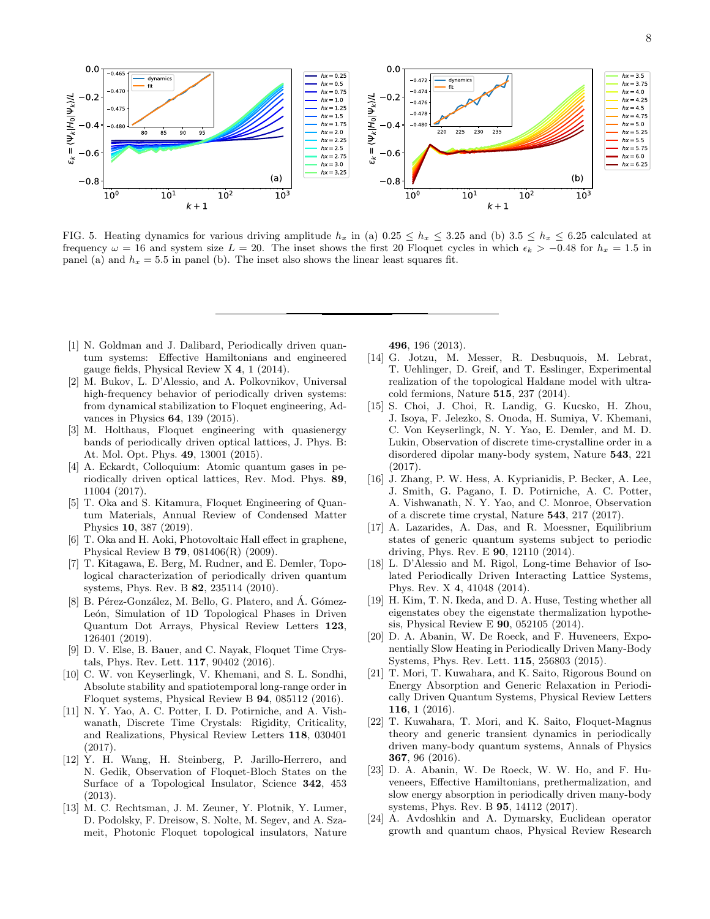

FIG. 5. Heating dynamics for various driving amplitude  $h_x$  in (a) 0.25  $\leq h_x \leq 3.25$  and (b) 3.5  $\leq h_x \leq 6.25$  calculated at frequency  $\omega = 16$  and system size  $L = 20$ . The inset shows the first 20 Floquet cycles in which  $\epsilon_k > -0.48$  for  $h_x = 1.5$  in panel (a) and  $h_x = 5.5$  in panel (b). The inset also shows the linear least squares fit.

- [1] N. Goldman and J. Dalibard, Periodically driven quantum systems: Effective Hamiltonians and engineered gauge fields, Physical Review X 4, 1 (2014).
- [2] M. Bukov, L. D'Alessio, and A. Polkovnikov, Universal high-frequency behavior of periodically driven systems: from dynamical stabilization to Floquet engineering, Advances in Physics 64, 139 (2015).
- [3] M. Holthaus, Floquet engineering with quasienergy bands of periodically driven optical lattices, J. Phys. B: At. Mol. Opt. Phys. 49, 13001 (2015).
- [4] A. Eckardt, Colloquium: Atomic quantum gases in periodically driven optical lattices, Rev. Mod. Phys. 89, 11004 (2017).
- [5] T. Oka and S. Kitamura, Floquet Engineering of Quantum Materials, Annual Review of Condensed Matter Physics 10, 387 (2019).
- [6] T. Oka and H. Aoki, Photovoltaic Hall effect in graphene, Physical Review B 79, 081406(R) (2009).
- [7] T. Kitagawa, E. Berg, M. Rudner, and E. Demler, Topological characterization of periodically driven quantum systems, Phys. Rev. B 82, 235114 (2010).
- [8] B. Pérez-González, M. Bello, G. Platero, and Á. Gómez-León, Simulation of 1D Topological Phases in Driven Quantum Dot Arrays, Physical Review Letters 123, 126401 (2019).
- [9] D. V. Else, B. Bauer, and C. Nayak, Floquet Time Crystals, Phys. Rev. Lett. 117, 90402 (2016).
- [10] C. W. von Keyserlingk, V. Khemani, and S. L. Sondhi, Absolute stability and spatiotemporal long-range order in Floquet systems, Physical Review B 94, 085112 (2016).
- [11] N. Y. Yao, A. C. Potter, I. D. Potirniche, and A. Vishwanath, Discrete Time Crystals: Rigidity, Criticality, and Realizations, Physical Review Letters 118, 030401 (2017).
- [12] Y. H. Wang, H. Steinberg, P. Jarillo-Herrero, and N. Gedik, Observation of Floquet-Bloch States on the Surface of a Topological Insulator, Science 342, 453 (2013).
- [13] M. C. Rechtsman, J. M. Zeuner, Y. Plotnik, Y. Lumer, D. Podolsky, F. Dreisow, S. Nolte, M. Segev, and A. Szameit, Photonic Floquet topological insulators, Nature

496, 196 (2013).

- [14] G. Jotzu, M. Messer, R. Desbuquois, M. Lebrat, T. Uehlinger, D. Greif, and T. Esslinger, Experimental realization of the topological Haldane model with ultracold fermions, Nature 515, 237 (2014).
- [15] S. Choi, J. Choi, R. Landig, G. Kucsko, H. Zhou, J. Isoya, F. Jelezko, S. Onoda, H. Sumiya, V. Khemani, C. Von Keyserlingk, N. Y. Yao, E. Demler, and M. D. Lukin, Observation of discrete time-crystalline order in a disordered dipolar many-body system, Nature 543, 221 (2017).
- [16] J. Zhang, P. W. Hess, A. Kyprianidis, P. Becker, A. Lee, J. Smith, G. Pagano, I. D. Potirniche, A. C. Potter, A. Vishwanath, N. Y. Yao, and C. Monroe, Observation of a discrete time crystal, Nature 543, 217 (2017).
- [17] A. Lazarides, A. Das, and R. Moessner, Equilibrium states of generic quantum systems subject to periodic driving, Phys. Rev. E 90, 12110 (2014).
- [18] L. D'Alessio and M. Rigol, Long-time Behavior of Isolated Periodically Driven Interacting Lattice Systems, Phys. Rev. X 4, 41048 (2014).
- [19] H. Kim, T. N. Ikeda, and D. A. Huse, Testing whether all eigenstates obey the eigenstate thermalization hypothesis, Physical Review E 90, 052105 (2014).
- [20] D. A. Abanin, W. De Roeck, and F. Huveneers, Exponentially Slow Heating in Periodically Driven Many-Body Systems, Phys. Rev. Lett. 115, 256803 (2015).
- [21] T. Mori, T. Kuwahara, and K. Saito, Rigorous Bound on Energy Absorption and Generic Relaxation in Periodically Driven Quantum Systems, Physical Review Letters 116, 1 (2016).
- [22] T. Kuwahara, T. Mori, and K. Saito, Floquet-Magnus theory and generic transient dynamics in periodically driven many-body quantum systems, Annals of Physics 367, 96 (2016).
- [23] D. A. Abanin, W. De Roeck, W. W. Ho, and F. Huveneers, Effective Hamiltonians, prethermalization, and slow energy absorption in periodically driven many-body systems, Phys. Rev. B 95, 14112 (2017).
- [24] A. Avdoshkin and A. Dymarsky, Euclidean operator growth and quantum chaos, Physical Review Research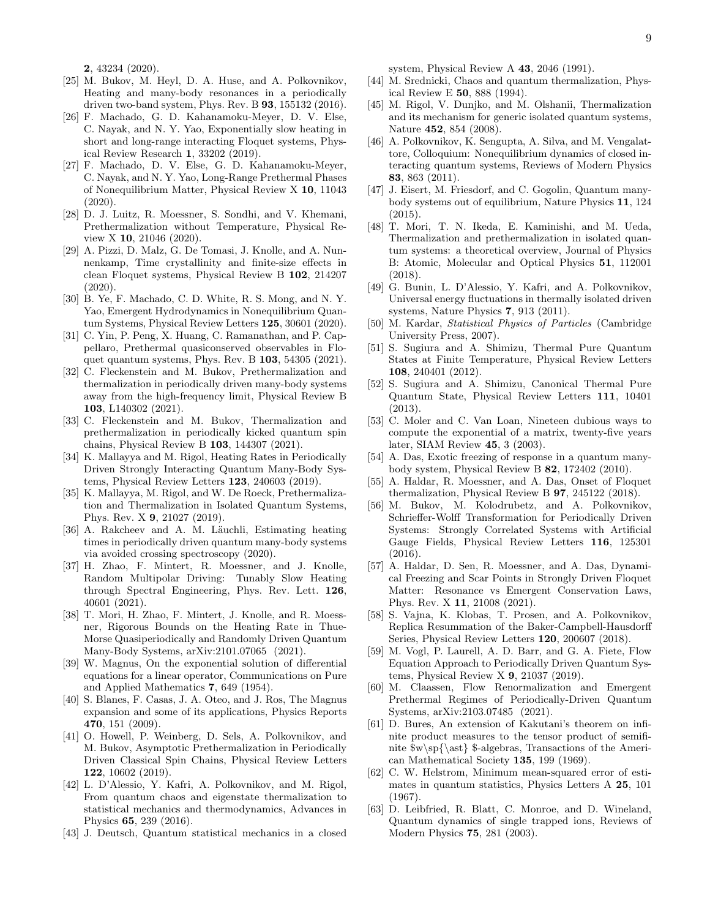2, 43234 (2020).

- [25] M. Bukov, M. Heyl, D. A. Huse, and A. Polkovnikov, Heating and many-body resonances in a periodically driven two-band system, Phys. Rev. B 93, 155132 (2016).
- [26] F. Machado, G. D. Kahanamoku-Meyer, D. V. Else, C. Nayak, and N. Y. Yao, Exponentially slow heating in short and long-range interacting Floquet systems, Physical Review Research 1, 33202 (2019).
- [27] F. Machado, D. V. Else, G. D. Kahanamoku-Meyer, C. Nayak, and N. Y. Yao, Long-Range Prethermal Phases of Nonequilibrium Matter, Physical Review X 10, 11043  $(2020)$ .
- [28] D. J. Luitz, R. Moessner, S. Sondhi, and V. Khemani, Prethermalization without Temperature, Physical Review X 10, 21046 (2020).
- [29] A. Pizzi, D. Malz, G. De Tomasi, J. Knolle, and A. Nunnenkamp, Time crystallinity and finite-size effects in clean Floquet systems, Physical Review B 102, 214207 (2020).
- [30] B. Ye, F. Machado, C. D. White, R. S. Mong, and N. Y. Yao, Emergent Hydrodynamics in Nonequilibrium Quantum Systems, Physical Review Letters 125, 30601 (2020).
- [31] C. Yin, P. Peng, X. Huang, C. Ramanathan, and P. Cappellaro, Prethermal quasiconserved observables in Floquet quantum systems, Phys. Rev. B 103, 54305 (2021).
- [32] C. Fleckenstein and M. Bukov, Prethermalization and thermalization in periodically driven many-body systems away from the high-frequency limit, Physical Review B 103, L140302 (2021).
- [33] C. Fleckenstein and M. Bukov, Thermalization and prethermalization in periodically kicked quantum spin chains, Physical Review B 103, 144307 (2021).
- [34] K. Mallayya and M. Rigol, Heating Rates in Periodically Driven Strongly Interacting Quantum Many-Body Systems, Physical Review Letters 123, 240603 (2019).
- [35] K. Mallayya, M. Rigol, and W. De Roeck, Prethermalization and Thermalization in Isolated Quantum Systems, Phys. Rev. X 9, 21027 (2019).
- [36] A. Rakcheev and A. M. Läuchli, Estimating heating times in periodically driven quantum many-body systems via avoided crossing spectroscopy (2020).
- [37] H. Zhao, F. Mintert, R. Moessner, and J. Knolle, Random Multipolar Driving: Tunably Slow Heating through Spectral Engineering, Phys. Rev. Lett. 126, 40601 (2021).
- [38] T. Mori, H. Zhao, F. Mintert, J. Knolle, and R. Moessner, Rigorous Bounds on the Heating Rate in Thue-Morse Quasiperiodically and Randomly Driven Quantum Many-Body Systems, arXiv:2101.07065 (2021).
- [39] W. Magnus, On the exponential solution of differential equations for a linear operator, Communications on Pure and Applied Mathematics 7, 649 (1954).
- [40] S. Blanes, F. Casas, J. A. Oteo, and J. Ros, The Magnus expansion and some of its applications, Physics Reports 470, 151 (2009).
- [41] O. Howell, P. Weinberg, D. Sels, A. Polkovnikov, and M. Bukov, Asymptotic Prethermalization in Periodically Driven Classical Spin Chains, Physical Review Letters 122, 10602 (2019).
- [42] L. D'Alessio, Y. Kafri, A. Polkovnikov, and M. Rigol, From quantum chaos and eigenstate thermalization to statistical mechanics and thermodynamics, Advances in Physics 65, 239 (2016).
- [43] J. Deutsch, Quantum statistical mechanics in a closed

system, Physical Review A 43, 2046 (1991).

- [44] M. Srednicki, Chaos and quantum thermalization, Physical Review E 50, 888 (1994).
- [45] M. Rigol, V. Dunjko, and M. Olshanii, Thermalization and its mechanism for generic isolated quantum systems, Nature 452, 854 (2008).
- [46] A. Polkovnikov, K. Sengupta, A. Silva, and M. Vengalattore, Colloquium: Nonequilibrium dynamics of closed interacting quantum systems, Reviews of Modern Physics 83, 863 (2011).
- [47] J. Eisert, M. Friesdorf, and C. Gogolin, Quantum manybody systems out of equilibrium, Nature Physics 11, 124  $(2015)$ .
- [48] T. Mori, T. N. Ikeda, E. Kaminishi, and M. Ueda, Thermalization and prethermalization in isolated quantum systems: a theoretical overview, Journal of Physics B: Atomic, Molecular and Optical Physics 51, 112001 (2018).
- [49] G. Bunin, L. D'Alessio, Y. Kafri, and A. Polkovnikov, Universal energy fluctuations in thermally isolated driven systems, Nature Physics 7, 913 (2011).
- [50] M. Kardar, Statistical Physics of Particles (Cambridge University Press, 2007).
- [51] S. Sugiura and A. Shimizu, Thermal Pure Quantum States at Finite Temperature, Physical Review Letters 108, 240401 (2012).
- [52] S. Sugiura and A. Shimizu, Canonical Thermal Pure Quantum State, Physical Review Letters 111, 10401  $(2013)$
- [53] C. Moler and C. Van Loan, Nineteen dubious ways to compute the exponential of a matrix, twenty-five years later, SIAM Review 45, 3 (2003).
- [54] A. Das, Exotic freezing of response in a quantum manybody system, Physical Review B 82, 172402 (2010).
- [55] A. Haldar, R. Moessner, and A. Das, Onset of Floquet thermalization, Physical Review B 97, 245122 (2018).
- [56] M. Bukov, M. Kolodrubetz, and A. Polkovnikov, Schrieffer-Wolff Transformation for Periodically Driven Systems: Strongly Correlated Systems with Artificial Gauge Fields, Physical Review Letters 116, 125301 (2016).
- [57] A. Haldar, D. Sen, R. Moessner, and A. Das, Dynamical Freezing and Scar Points in Strongly Driven Floquet Matter: Resonance vs Emergent Conservation Laws, Phys. Rev. X 11, 21008 (2021).
- [58] S. Vajna, K. Klobas, T. Prosen, and A. Polkovnikov, Replica Resummation of the Baker-Campbell-Hausdorff Series, Physical Review Letters 120, 200607 (2018).
- [59] M. Vogl, P. Laurell, A. D. Barr, and G. A. Fiete, Flow Equation Approach to Periodically Driven Quantum Systems, Physical Review X 9, 21037 (2019).
- [60] M. Claassen, Flow Renormalization and Emergent Prethermal Regimes of Periodically-Driven Quantum Systems, arXiv:2103.07485 (2021).
- [61] D. Bures, An extension of Kakutani's theorem on infinite product measures to the tensor product of semifinite  $w\sp{\ast}$  \$-algebras, Transactions of the American Mathematical Society 135, 199 (1969).
- [62] C. W. Helstrom, Minimum mean-squared error of estimates in quantum statistics, Physics Letters A 25, 101 (1967).
- [63] D. Leibfried, R. Blatt, C. Monroe, and D. Wineland, Quantum dynamics of single trapped ions, Reviews of Modern Physics 75, 281 (2003).